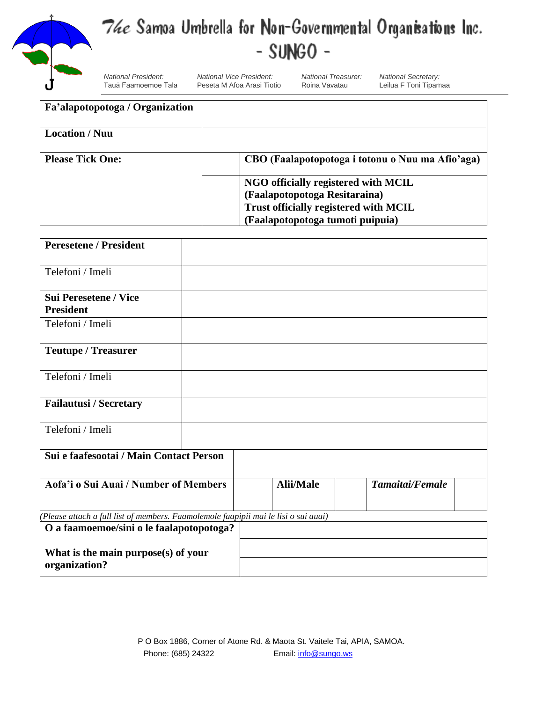

## The Samoa Umbrella for Non-Governmental Organisations Inc.  $-SUNGO -$

*National President: National Vice President: National Treasurer: National Secretary:* Peseta M Afoa Arasi Tiotio

| Fa'alapotopotoga / Organization |                                                  |
|---------------------------------|--------------------------------------------------|
| <b>Location</b> / Nuu           |                                                  |
| <b>Please Tick One:</b>         | CBO (Faalapotopotoga i totonu o Nuu ma Afio'aga) |
|                                 | NGO officially registered with MCIL              |
|                                 | (Faalapotopotoga Resitaraina)                    |
|                                 | Trust officially registered with MCIL            |
|                                 | (Faalapotopotoga tumoti puipuia)                 |

| <b>Peresetene / President</b>                                                       |  |                  |                 |  |  |  |
|-------------------------------------------------------------------------------------|--|------------------|-----------------|--|--|--|
| Telefoni / Imeli                                                                    |  |                  |                 |  |  |  |
| <b>Sui Peresetene / Vice</b>                                                        |  |                  |                 |  |  |  |
| <b>President</b>                                                                    |  |                  |                 |  |  |  |
| Telefoni / Imeli                                                                    |  |                  |                 |  |  |  |
| <b>Teutupe / Treasurer</b>                                                          |  |                  |                 |  |  |  |
| Telefoni / Imeli                                                                    |  |                  |                 |  |  |  |
| <b>Failautusi / Secretary</b>                                                       |  |                  |                 |  |  |  |
| Telefoni / Imeli                                                                    |  |                  |                 |  |  |  |
| Sui e faafesootai / Main Contact Person                                             |  |                  |                 |  |  |  |
| Aofa'i o Sui Auai / Number of Members                                               |  | <b>Alii/Male</b> | Tamaitai/Female |  |  |  |
| (Please attach a full list of members. Faamolemole faapipii mai le lisi o sui auai) |  |                  |                 |  |  |  |
| O a faamoemoe/sini o le faalapotopotoga?                                            |  |                  |                 |  |  |  |

| What is the main purpose(s) of your<br>organization? |  |
|------------------------------------------------------|--|
|                                                      |  |
|                                                      |  |